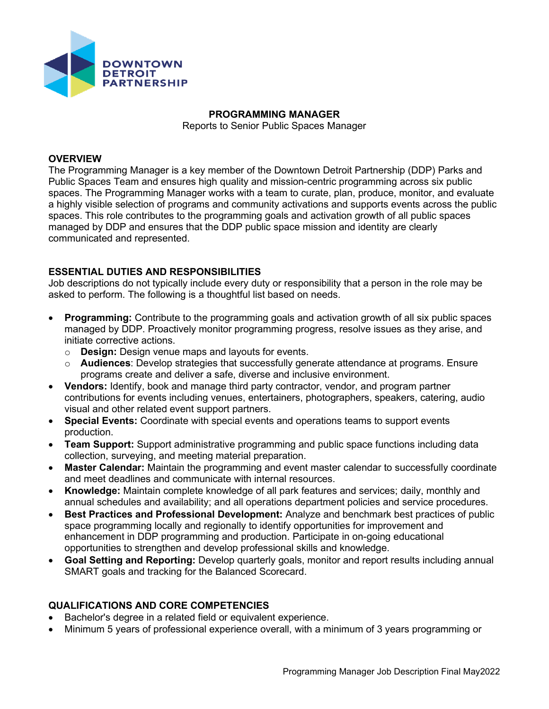

## **PROGRAMMING MANAGER**

Reports to Senior Public Spaces Manager

## **OVERVIEW**

The Programming Manager is a key member of the Downtown Detroit Partnership (DDP) Parks and Public Spaces Team and ensures high quality and mission-centric programming across six public spaces. The Programming Manager works with a team to curate, plan, produce, monitor, and evaluate a highly visible selection of programs and community activations and supports events across the public spaces. This role contributes to the programming goals and activation growth of all public spaces managed by DDP and ensures that the DDP public space mission and identity are clearly communicated and represented.

## **ESSENTIAL DUTIES AND RESPONSIBILITIES**

Job descriptions do not typically include every duty or responsibility that a person in the role may be asked to perform. The following is a thoughtful list based on needs.

- **Programming:** Contribute to the programming goals and activation growth of all six public spaces managed by DDP. Proactively monitor programming progress, resolve issues as they arise, and initiate corrective actions.
	- o **Design:** Design venue maps and layouts for events.
	- o **Audiences**: Develop strategies that successfully generate attendance at programs. Ensure programs create and deliver a safe, diverse and inclusive environment.
- **Vendors:** Identify, book and manage third party contractor, vendor, and program partner contributions for events including venues, entertainers, photographers, speakers, catering, audio visual and other related event support partners.
- **Special Events:** Coordinate with special events and operations teams to support events production.
- **Team Support:** Support administrative programming and public space functions including data collection, surveying, and meeting material preparation.
- **Master Calendar:** Maintain the programming and event master calendar to successfully coordinate and meet deadlines and communicate with internal resources.
- **Knowledge:** Maintain complete knowledge of all park features and services; daily, monthly and annual schedules and availability; and all operations department policies and service procedures.
- **Best Practices and Professional Development:** Analyze and benchmark best practices of public space programming locally and regionally to identify opportunities for improvement and enhancement in DDP programming and production. Participate in on-going educational opportunities to strengthen and develop professional skills and knowledge.
- **Goal Setting and Reporting:** Develop quarterly goals, monitor and report results including annual SMART goals and tracking for the Balanced Scorecard.

## **QUALIFICATIONS AND CORE COMPETENCIES**

- Bachelor's degree in a related field or equivalent experience.
- Minimum 5 years of professional experience overall, with a minimum of 3 years programming or